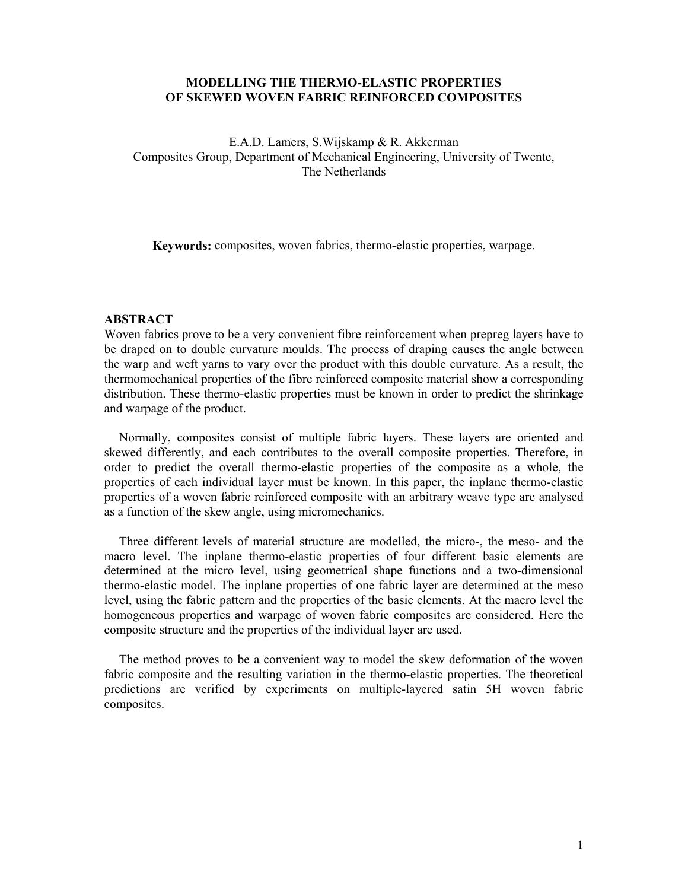## **MODELLING THE THERMO-ELASTIC PROPERTIES OF SKEWED WOVEN FABRIC REINFORCED COMPOSITES**

E.A.D. Lamers, S.Wijskamp & R. Akkerman Composites Group, Department of Mechanical Engineering, University of Twente, The Netherlands

**Keywords:** composites, woven fabrics, thermo-elastic properties, warpage.

#### **ABSTRACT**

Woven fabrics prove to be a very convenient fibre reinforcement when prepreg layers have to be draped on to double curvature moulds. The process of draping causes the angle between the warp and weft yarns to vary over the product with this double curvature. As a result, the thermomechanical properties of the fibre reinforced composite material show a corresponding distribution. These thermo-elastic properties must be known in order to predict the shrinkage and warpage of the product.

Normally, composites consist of multiple fabric layers. These layers are oriented and skewed differently, and each contributes to the overall composite properties. Therefore, in order to predict the overall thermo-elastic properties of the composite as a whole, the properties of each individual layer must be known. In this paper, the inplane thermo-elastic properties of a woven fabric reinforced composite with an arbitrary weave type are analysed as a function of the skew angle, using micromechanics.

Three different levels of material structure are modelled, the micro-, the meso- and the macro level. The inplane thermo-elastic properties of four different basic elements are determined at the micro level, using geometrical shape functions and a two-dimensional thermo-elastic model. The inplane properties of one fabric layer are determined at the meso level, using the fabric pattern and the properties of the basic elements. At the macro level the homogeneous properties and warpage of woven fabric composites are considered. Here the composite structure and the properties of the individual layer are used.

The method proves to be a convenient way to model the skew deformation of the woven fabric composite and the resulting variation in the thermo-elastic properties. The theoretical predictions are verified by experiments on multiple-layered satin 5H woven fabric composites.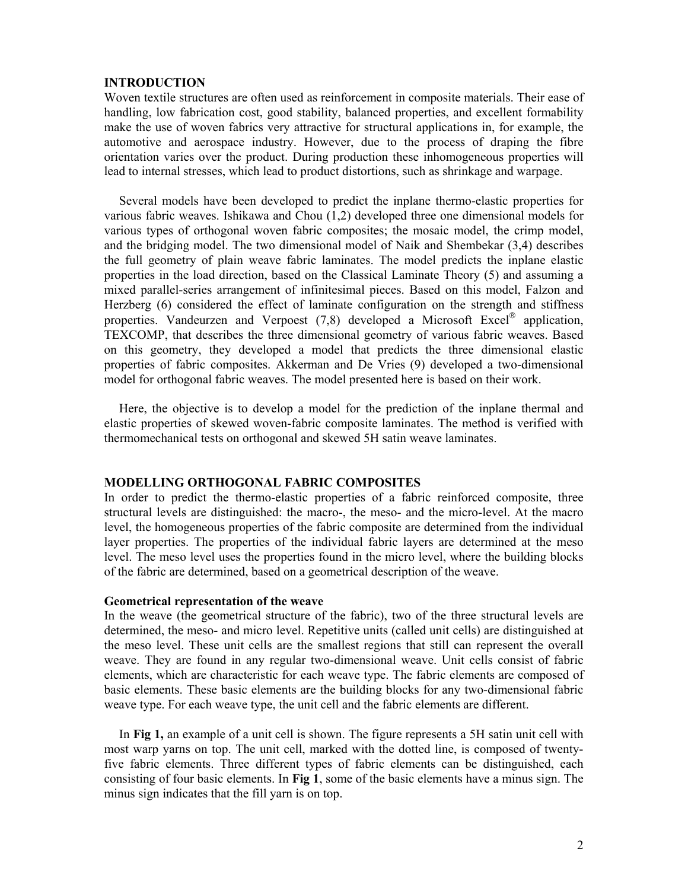### **INTRODUCTION**

Woven textile structures are often used as reinforcement in composite materials. Their ease of handling, low fabrication cost, good stability, balanced properties, and excellent formability make the use of woven fabrics very attractive for structural applications in, for example, the automotive and aerospace industry. However, due to the process of draping the fibre orientation varies over the product. During production these inhomogeneous properties will lead to internal stresses, which lead to product distortions, such as shrinkage and warpage.

Several models have been developed to predict the inplane thermo-elastic properties for various fabric weaves. Ishikawa and Chou (1,2) developed three one dimensional models for various types of orthogonal woven fabric composites; the mosaic model, the crimp model, and the bridging model. The two dimensional model of Naik and Shembekar (3,4) describes the full geometry of plain weave fabric laminates. The model predicts the inplane elastic properties in the load direction, based on the Classical Laminate Theory (5) and assuming a mixed parallel-series arrangement of infinitesimal pieces. Based on this model, Falzon and Herzberg (6) considered the effect of laminate configuration on the strength and stiffness properties. Vandeurzen and Verpoest  $(7,8)$  developed a Microsoft Excel<sup>®</sup> application, TEXCOMP, that describes the three dimensional geometry of various fabric weaves. Based on this geometry, they developed a model that predicts the three dimensional elastic properties of fabric composites. Akkerman and De Vries (9) developed a two-dimensional model for orthogonal fabric weaves. The model presented here is based on their work.

Here, the objective is to develop a model for the prediction of the inplane thermal and elastic properties of skewed woven-fabric composite laminates. The method is verified with thermomechanical tests on orthogonal and skewed 5H satin weave laminates.

## **MODELLING ORTHOGONAL FABRIC COMPOSITES**

In order to predict the thermo-elastic properties of a fabric reinforced composite, three structural levels are distinguished: the macro-, the meso- and the micro-level. At the macro level, the homogeneous properties of the fabric composite are determined from the individual layer properties. The properties of the individual fabric layers are determined at the meso level. The meso level uses the properties found in the micro level, where the building blocks of the fabric are determined, based on a geometrical description of the weave.

#### **Geometrical representation of the weave**

In the weave (the geometrical structure of the fabric), two of the three structural levels are determined, the meso- and micro level. Repetitive units (called unit cells) are distinguished at the meso level. These unit cells are the smallest regions that still can represent the overall weave. They are found in any regular two-dimensional weave. Unit cells consist of fabric elements, which are characteristic for each weave type. The fabric elements are composed of basic elements. These basic elements are the building blocks for any two-dimensional fabric weave type. For each weave type, the unit cell and the fabric elements are different.

In **Fig 1,** an example of a unit cell is shown. The figure represents a 5H satin unit cell with most warp yarns on top. The unit cell, marked with the dotted line, is composed of twentyfive fabric elements. Three different types of fabric elements can be distinguished, each consisting of four basic elements. In **Fig 1**, some of the basic elements have a minus sign. The minus sign indicates that the fill yarn is on top.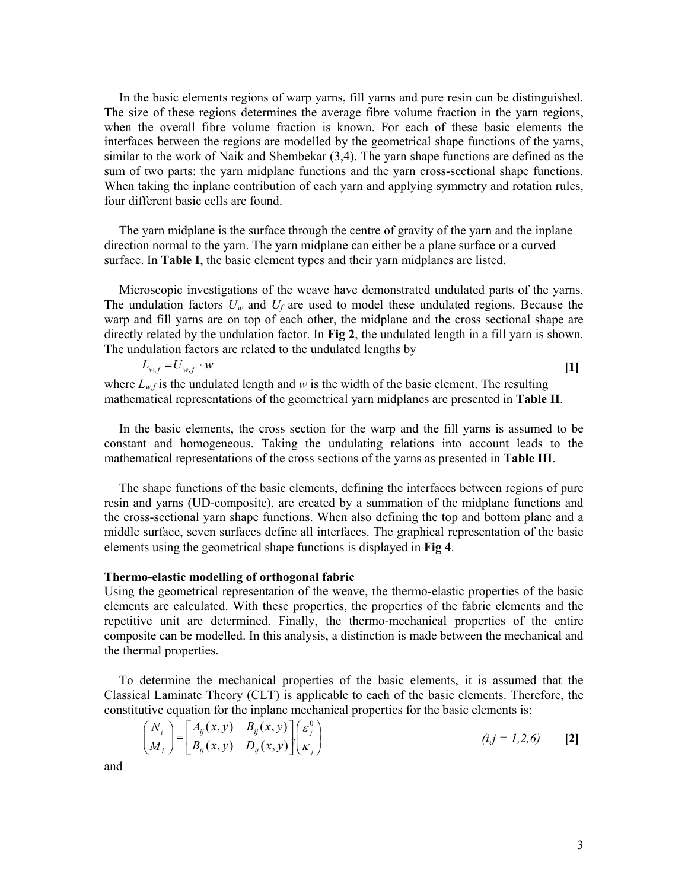In the basic elements regions of warp yarns, fill yarns and pure resin can be distinguished. The size of these regions determines the average fibre volume fraction in the yarn regions, when the overall fibre volume fraction is known. For each of these basic elements the interfaces between the regions are modelled by the geometrical shape functions of the yarns, similar to the work of Naik and Shembekar (3,4). The yarn shape functions are defined as the sum of two parts: the yarn midplane functions and the yarn cross-sectional shape functions. When taking the inplane contribution of each yarn and applying symmetry and rotation rules, four different basic cells are found.

The yarn midplane is the surface through the centre of gravity of the yarn and the inplane direction normal to the yarn. The yarn midplane can either be a plane surface or a curved surface. In **Table I**, the basic element types and their yarn midplanes are listed.

Microscopic investigations of the weave have demonstrated undulated parts of the yarns. The undulation factors  $U_w$  and  $U_f$  are used to model these undulated regions. Because the warp and fill yarns are on top of each other, the midplane and the cross sectional shape are directly related by the undulation factor. In **Fig 2**, the undulated length in a fill yarn is shown. The undulation factors are related to the undulated lengths by

$$
L_{w,f} = U_{w,f} \cdot w
$$
 [1]  
Here  $I_{g}$  is the undulated length and  $w$  is the width of the basic element. The resulting

where  $L_{w,f}$  is the undulated length and *w* is the width of the basic element. The resulting mathematical representations of the geometrical yarn midplanes are presented in **Table II**.

In the basic elements, the cross section for the warp and the fill yarns is assumed to be constant and homogeneous. Taking the undulating relations into account leads to the mathematical representations of the cross sections of the yarns as presented in **Table III**.

The shape functions of the basic elements, defining the interfaces between regions of pure resin and yarns (UD-composite), are created by a summation of the midplane functions and the cross-sectional yarn shape functions. When also defining the top and bottom plane and a middle surface, seven surfaces define all interfaces. The graphical representation of the basic elements using the geometrical shape functions is displayed in **Fig 4**.

## **Thermo-elastic modelling of orthogonal fabric**

Using the geometrical representation of the weave, the thermo-elastic properties of the basic elements are calculated. With these properties, the properties of the fabric elements and the repetitive unit are determined. Finally, the thermo-mechanical properties of the entire composite can be modelled. In this analysis, a distinction is made between the mechanical and the thermal properties.

To determine the mechanical properties of the basic elements, it is assumed that the Classical Laminate Theory (CLT) is applicable to each of the basic elements. Therefore, the constitutive equation for the inplane mechanical properties for the basic elements is:

$$
\begin{pmatrix} N_i \\ M_i \end{pmatrix} = \begin{bmatrix} A_{ij}(x, y) & B_{ij}(x, y) \\ B_{ij}(x, y) & D_{ij}(x, y) \end{bmatrix} \begin{pmatrix} \varepsilon_j^0 \\ \varepsilon_j \end{pmatrix}
$$
 (i, j = 1, 2, 6) [2]

and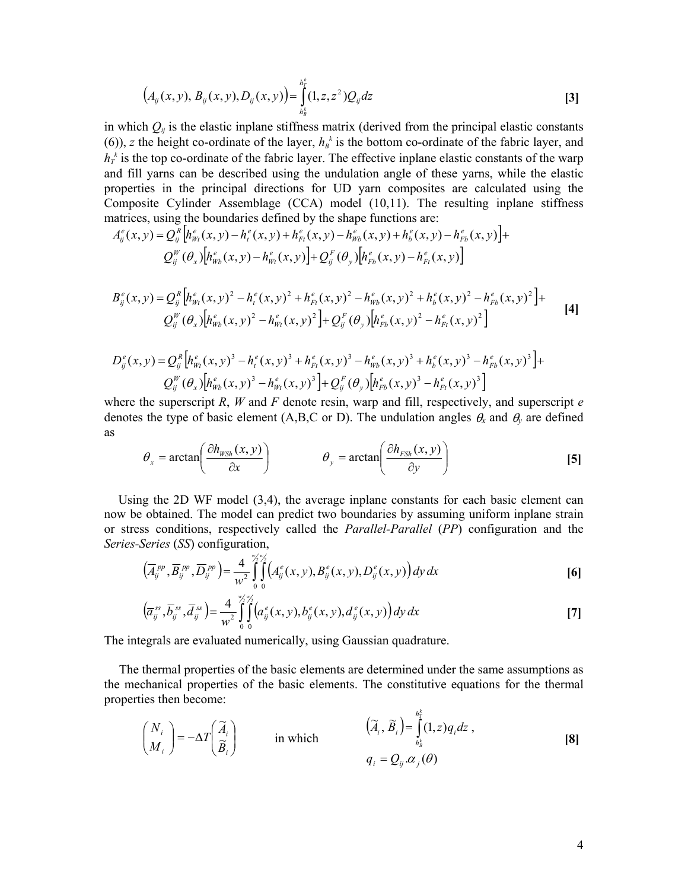$$
(A_{ij}(x, y), B_{ij}(x, y), D_{ij}(x, y)) = \int_{h_B^k}^{h_T^k} (1, z, z^2) Q_{ij} dz
$$
 [3]

in which  $Q_{ij}$  is the elastic inplane stiffness matrix (derived from the principal elastic constants (6)), *z* the height co-ordinate of the layer,  $h<sub>B</sub><sup>k</sup>$  is the bottom co-ordinate of the fabric layer, and  $h_t^k$  is the top co-ordinate of the fabric layer. The effective inplane elastic constants of the warp and fill yarns can be described using the undulation angle of these yarns, while the elastic properties in the principal directions for UD yarn composites are calculated using the Composite Cylinder Assemblage (CCA) model (10,11). The resulting inplane stiffness matrices, using the boundaries defined by the shape functions are:

$$
A_{ij}^{e}(x,y) = Q_{ij}^{R} [h_{Wl}^{e}(x,y) - h_{l}^{e}(x,y) + h_{Fl}^{e}(x,y) - h_{Wb}^{e}(x,y) + h_{b}^{e}(x,y) - h_{Fb}^{e}(x,y)] +
$$
  

$$
Q_{ij}^{W} (\theta_{x}) [h_{Wb}^{e}(x,y) - h_{Wl}^{e}(x,y)] + Q_{ij}^{F} (\theta_{y}) [h_{Fb}^{e}(x,y) - h_{Fl}^{e}(x,y)]
$$

$$
B_{ij}^{e}(x,y) = Q_{ij}^{R} \left[ h_{Wl}^{e}(x,y)^{2} - h_{l}^{e}(x,y)^{2} + h_{Fl}^{e}(x,y)^{2} - h_{Wb}^{e}(x,y)^{2} + h_{b}^{e}(x,y)^{2} - h_{Fb}^{e}(x,y)^{2} \right] +
$$
  
\n
$$
Q_{ij}^{W}(\theta_{x}) \left[ h_{Wb}^{e}(x,y)^{2} - h_{Wl}^{e}(x,y)^{2} \right] + Q_{ij}^{F}(\theta_{y}) \left[ h_{Fb}^{e}(x,y)^{2} - h_{Fl}^{e}(x,y)^{2} \right]
$$
\n[4]

$$
D_{ij}^{e}(x,y) = Q_{ij}^{R} \Big[ h_{Wt}^{e}(x,y)^{3} - h_{t}^{e}(x,y)^{3} + h_{Ft}^{e}(x,y)^{3} - h_{Wb}^{e}(x,y)^{3} + h_{b}^{e}(x,y)^{3} - h_{Fb}^{e}(x,y)^{3} \Big] +
$$
  

$$
Q_{ij}^{W}(\theta_{x}) \Big[ h_{Wb}^{e}(x,y)^{3} - h_{Wt}^{e}(x,y)^{3} \Big] + Q_{ij}^{F}(\theta_{y}) \Big[ h_{Fb}^{e}(x,y)^{3} - h_{Ft}^{e}(x,y)^{3} \Big]
$$

where the superscript *R*, *W* and *F* denote resin, warp and fill, respectively, and superscript *e* denotes the type of basic element (A,B,C or D). The undulation angles  $\theta_x$  and  $\theta_y$  are defined as

$$
\theta_{x} = \arctan\left(\frac{\partial h_{\text{WSh}}(x, y)}{\partial x}\right) \qquad \theta_{y} = \arctan\left(\frac{\partial h_{\text{FSh}}(x, y)}{\partial y}\right) \qquad [5]
$$

Using the 2D WF model (3,4), the average inplane constants for each basic element can now be obtained. The model can predict two boundaries by assuming uniform inplane strain or stress conditions, respectively called the *Parallel-Parallel* (*PP*) configuration and the *Series-Series* (*SS*) configuration,

$$
(\overline{A}_{ij}^{pp}, \overline{B}_{ij}^{pp}, \overline{D}_{ij}^{pp}) = \frac{4}{w^2} \int_{0}^{w_2'w_2'} \left( A_{ij}^{e}(x, y), B_{ij}^{e}(x, y), D_{ij}^{e}(x, y) \right) dy dx
$$
 [6]

$$
(\overline{a}_{ij}^{ss}, \overline{b}_{ij}^{ss}, \overline{d}_{ij}^{ss}) = \frac{4}{w^2} \int_{0}^{\frac{w_2w_2}{2}} \int_{0}^{\frac{w_2}{2}} \left( a_{ij}^e(x, y), b_{ij}^e(x, y), d_{ij}^e(x, y) \right) dy dx
$$
 [7]

The integrals are evaluated numerically, using Gaussian quadrature.

The thermal properties of the basic elements are determined under the same assumptions as the mechanical properties of the basic elements. The constitutive equations for the thermal properties then become:

$$
\begin{pmatrix} N_i \\ M_i \end{pmatrix} = -\Delta T \begin{pmatrix} \widetilde{A}_i \\ \widetilde{B}_i \end{pmatrix} \quad \text{in which} \quad \begin{pmatrix} \widetilde{A}_i, \widetilde{B}_i \end{pmatrix} = \int_{h_\beta^k}^{h_\gamma^k} (1, z) q_i dz ,
$$
\n
$$
q_i = Q_{ij} \alpha_j(\theta)
$$
\n
$$
(8)
$$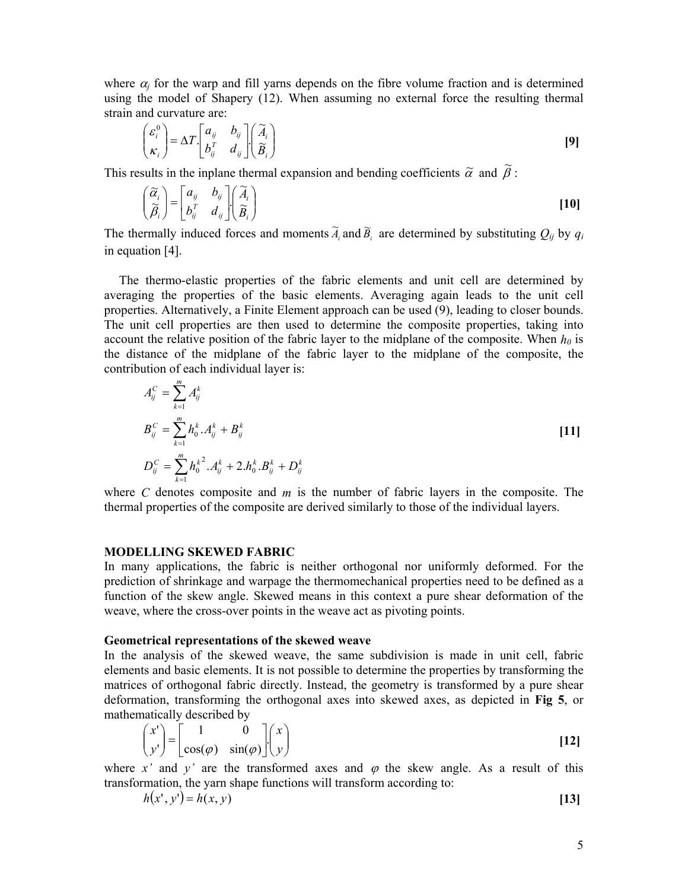where  $\alpha_i$  for the warp and fill yarns depends on the fibre volume fraction and is determined using the model of Shapery (12). When assuming no external force the resulting thermal strain and curvature are:

$$
\begin{pmatrix} \varepsilon_i^0 \\ \kappa_i \end{pmatrix} = \Delta T \begin{bmatrix} a_{ij} & b_{ij} \\ b_{ij}^T & d_{ij} \end{bmatrix} \begin{pmatrix} \widetilde{A}_i \\ \widetilde{B}_i \end{pmatrix}
$$
 [9]

This results in the inplane thermal expansion and bending coefficients  $\tilde{\alpha}$  and  $\tilde{\beta}$ :

$$
\begin{pmatrix} \widetilde{\alpha}_i \\ \widetilde{\beta}_i \end{pmatrix} = \begin{bmatrix} a_{ij} & b_{ij} \\ b_i^T & d_{ij} \end{bmatrix} \begin{pmatrix} \widetilde{A}_i \\ \widetilde{B}_i \end{pmatrix}
$$
 [10]

The thermally induced forces and moments  $\tilde{A}_i$  and  $\tilde{B}_i$  are determined by substituting  $Q_{ij}$  by  $q_i$ in equation [4].

The thermo-elastic properties of the fabric elements and unit cell are determined by averaging the properties of the basic elements. Averaging again leads to the unit cell properties. Alternatively, a Finite Element approach can be used (9), leading to closer bounds. The unit cell properties are then used to determine the composite properties, taking into account the relative position of the fabric layer to the midplane of the composite. When  $h_0$  is the distance of the midplane of the fabric layer to the midplane of the composite, the contribution of each individual layer is:

$$
A_{ij}^{C} = \sum_{k=1}^{m} A_{ij}^{k}
$$
  
\n
$$
B_{ij}^{C} = \sum_{k=1}^{m} h_{0}^{k} A_{ij}^{k} + B_{ij}^{k}
$$
  
\n
$$
D_{ij}^{C} = \sum_{k=1}^{m} h_{0}^{k^{2}} A_{ij}^{k} + 2 \cdot h_{0}^{k} B_{ij}^{k} + D_{ij}^{k}
$$
\n[11]

where *C* denotes composite and *m* is the number of fabric layers in the composite. The thermal properties of the composite are derived similarly to those of the individual layers.

#### **MODELLING SKEWED FABRIC**

In many applications, the fabric is neither orthogonal nor uniformly deformed. For the prediction of shrinkage and warpage the thermomechanical properties need to be defined as a function of the skew angle. Skewed means in this context a pure shear deformation of the weave, where the cross-over points in the weave act as pivoting points.

#### **Geometrical representations of the skewed weave**

In the analysis of the skewed weave, the same subdivision is made in unit cell, fabric elements and basic elements. It is not possible to determine the properties by transforming the matrices of orthogonal fabric directly. Instead, the geometry is transformed by a pure shear deformation, transforming the orthogonal axes into skewed axes, as depicted in **Fig 5**, or mathematically described by

$$
\begin{pmatrix} x' \\ y' \end{pmatrix} = \begin{bmatrix} 1 & 0 \\ \cos(\varphi) & \sin(\varphi) \end{bmatrix} \begin{pmatrix} x \\ y \end{pmatrix}
$$
 [12]

where *x'* and *y'* are the transformed axes and  $\varphi$  the skew angle. As a result of this transformation, the yarn shape functions will transform according to:

$$
h(x', y') = h(x, y) \tag{13}
$$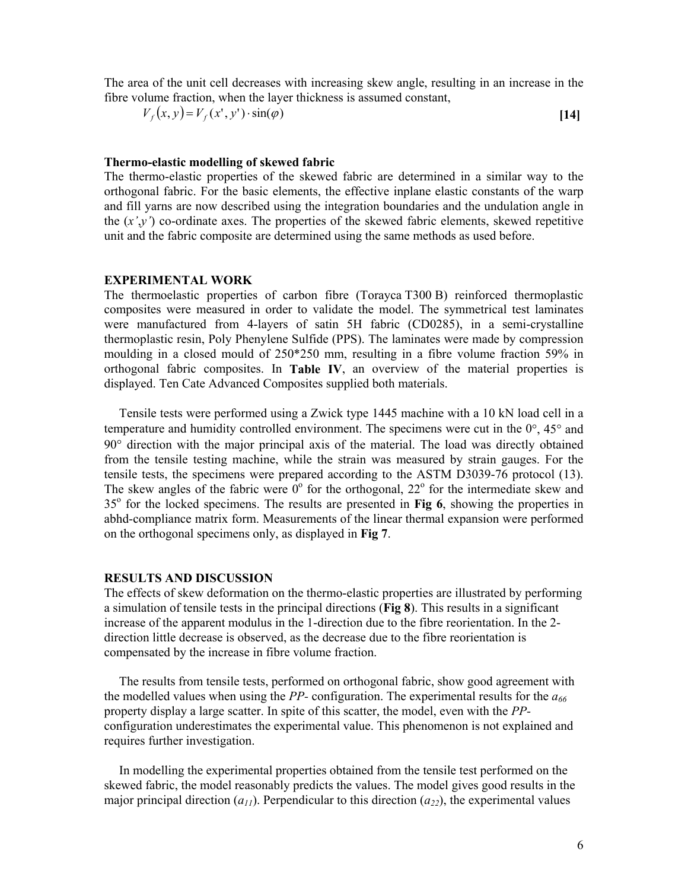The area of the unit cell decreases with increasing skew angle, resulting in an increase in the fibre volume fraction, when the layer thickness is assumed constant,

$$
V_f(x, y) = V_f(x', y') \cdot \sin(\varphi)
$$
 [14]

### **Thermo-elastic modelling of skewed fabric**

The thermo-elastic properties of the skewed fabric are determined in a similar way to the orthogonal fabric. For the basic elements, the effective inplane elastic constants of the warp and fill yarns are now described using the integration boundaries and the undulation angle in the  $(x', y')$  co-ordinate axes. The properties of the skewed fabric elements, skewed repetitive unit and the fabric composite are determined using the same methods as used before.

#### **EXPERIMENTAL WORK**

The thermoelastic properties of carbon fibre (Torayca T300 B) reinforced thermoplastic composites were measured in order to validate the model. The symmetrical test laminates were manufactured from 4-layers of satin 5H fabric (CD0285), in a semi-crystalline thermoplastic resin, Poly Phenylene Sulfide (PPS). The laminates were made by compression moulding in a closed mould of 250\*250 mm, resulting in a fibre volume fraction 59% in orthogonal fabric composites. In **Table IV**, an overview of the material properties is displayed. Ten Cate Advanced Composites supplied both materials.

Tensile tests were performed using a Zwick type 1445 machine with a 10 kN load cell in a temperature and humidity controlled environment. The specimens were cut in the 0°, 45° and 90° direction with the major principal axis of the material. The load was directly obtained from the tensile testing machine, while the strain was measured by strain gauges. For the tensile tests, the specimens were prepared according to the ASTM D3039-76 protocol (13). The skew angles of the fabric were  $0^{\circ}$  for the orthogonal, 22 $^{\circ}$  for the intermediate skew and 35<sup>o</sup> for the locked specimens. The results are presented in Fig 6, showing the properties in abhd-compliance matrix form. Measurements of the linear thermal expansion were performed on the orthogonal specimens only, as displayed in **Fig 7**.

#### **RESULTS AND DISCUSSION**

The effects of skew deformation on the thermo-elastic properties are illustrated by performing a simulation of tensile tests in the principal directions (**Fig 8**). This results in a significant increase of the apparent modulus in the 1-direction due to the fibre reorientation. In the 2 direction little decrease is observed, as the decrease due to the fibre reorientation is compensated by the increase in fibre volume fraction.

The results from tensile tests, performed on orthogonal fabric, show good agreement with the modelled values when using the *PP-* configuration. The experimental results for the *a66* property display a large scatter. In spite of this scatter, the model, even with the *PP*configuration underestimates the experimental value. This phenomenon is not explained and requires further investigation.

In modelling the experimental properties obtained from the tensile test performed on the skewed fabric, the model reasonably predicts the values. The model gives good results in the major principal direction  $(a_{11})$ . Perpendicular to this direction  $(a_{22})$ , the experimental values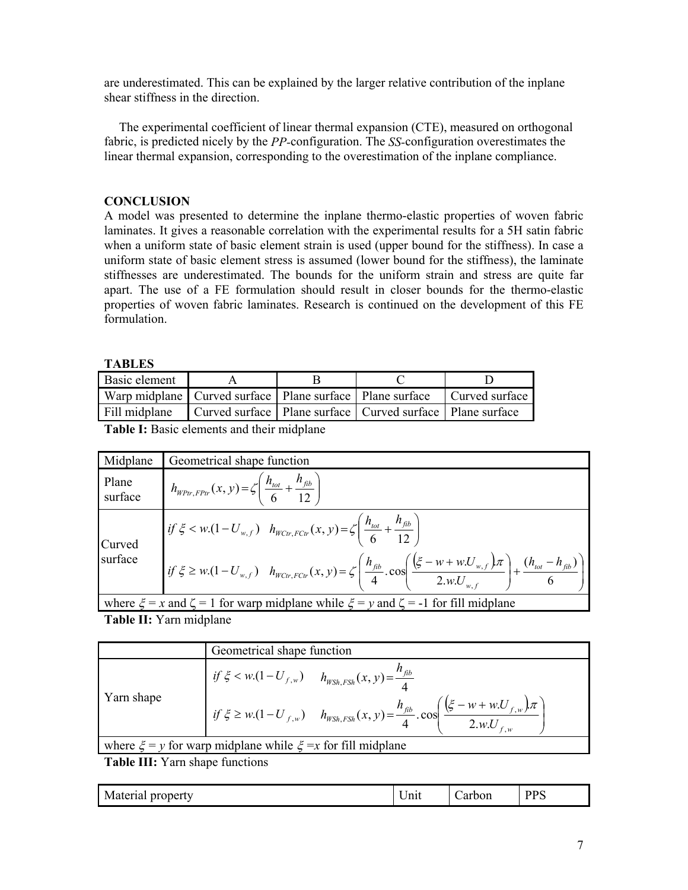are underestimated. This can be explained by the larger relative contribution of the inplane shear stiffness in the direction.

The experimental coefficient of linear thermal expansion (CTE), measured on orthogonal fabric, is predicted nicely by the *PP-*configuration. The *SS-*configuration overestimates the linear thermal expansion, corresponding to the overestimation of the inplane compliance.

# **CONCLUSION**

A model was presented to determine the inplane thermo-elastic properties of woven fabric laminates. It gives a reasonable correlation with the experimental results for a 5H satin fabric when a uniform state of basic element strain is used (upper bound for the stiffness). In case a uniform state of basic element stress is assumed (lower bound for the stiffness), the laminate stiffnesses are underestimated. The bounds for the uniform strain and stress are quite far apart. The use of a FE formulation should result in closer bounds for the thermo-elastic properties of woven fabric laminates. Research is continued on the development of this FE formulation.

# **TABLES**

| Basic element                                                                 |                                                                 |  |  |
|-------------------------------------------------------------------------------|-----------------------------------------------------------------|--|--|
| Warp midplane Curved surface   Plane surface   Plane surface   Curved surface |                                                                 |  |  |
| Fill midplane                                                                 | Curved surface   Plane surface   Curved surface   Plane surface |  |  |
|                                                                               |                                                                 |  |  |

**Table I:** Basic elements and their midplane

| Midplane                                                                                             | Geometrical shape function                                                                                                                                                                                          |  |
|------------------------------------------------------------------------------------------------------|---------------------------------------------------------------------------------------------------------------------------------------------------------------------------------------------------------------------|--|
| Plane<br>surface                                                                                     | $h_{W_{\text{Ptr},\text{FPr}}}(x, y) = \zeta \left( \frac{h_{\text{tot}}}{6} + \frac{h_{\text{fib}}}{12} \right)$                                                                                                   |  |
| Curved<br>surface                                                                                    | $\left  \text{ if } \xi < w.(1-U_{w,f}) \quad h_{WCr,FClr}(x,y) = \zeta \left( \frac{h_{tot}}{6} + \frac{h_{fib}}{12} \right) \right $                                                                              |  |
|                                                                                                      | $\left  i f \xi \geq w.(1-U_{w,f}) \quad h_{WCr,FCtr}(x,y) = \zeta \left( \frac{h_{fib}}{4} \cdot \cos \left( \frac{(\xi - w + w.U_{w,f})\pi}{2.w.U_{w,f}} \right) + \frac{(h_{tot} - h_{fib})}{6} \right) \right $ |  |
| where $\xi = x$ and $\zeta = 1$ for warp midplane while $\xi = y$ and $\zeta = -1$ for fill midplane |                                                                                                                                                                                                                     |  |

**Table II:** Yarn midplane

|                                                                     | Geometrical shape function                                                                                                                     |  |
|---------------------------------------------------------------------|------------------------------------------------------------------------------------------------------------------------------------------------|--|
| Yarn shape                                                          | if $\xi < w.(1-U_{f,w})$ $h_{WSh,FSh}(x, y) = \frac{h_{fib}}{\Delta}$                                                                          |  |
|                                                                     | $\int if \xi \geq w.(1-U_{f,w})$ $h_{WSh,FSh}(x,y) = \frac{h_{fib}}{4} \cdot \cos \left( \frac{(\xi - w + w.U_{f,w})\pi}{2.w.U_{f,w}} \right)$ |  |
| where $\xi = y$ for warp midplane while $\xi = x$ for fill midplane |                                                                                                                                                |  |

**Table III:** Yarn shape functions

| Material<br>roperty<br>۰ъ<br>$\mathbf{D}$ | - -<br>!nıt | Carbon | <b>DDC</b><br>110 |
|-------------------------------------------|-------------|--------|-------------------|
|-------------------------------------------|-------------|--------|-------------------|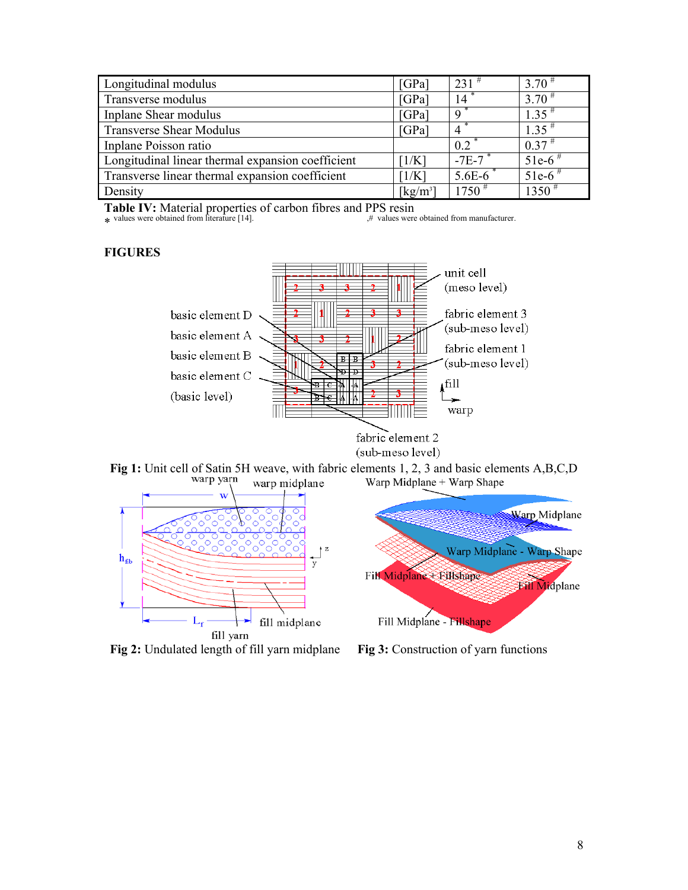| Longitudinal modulus                              | [GPa]                          | $231$ <sup>#</sup> | $3.70^{\#}$          |
|---------------------------------------------------|--------------------------------|--------------------|----------------------|
| Transverse modulus                                | [GPa]                          | 14                 | $3.70^{\#}$          |
| Inplane Shear modulus                             | [GPa]                          | $\mathbf Q$        | $1.35$ <sup>#</sup>  |
| <b>Transverse Shear Modulus</b>                   | [GPa]                          |                    | $1.35$ <sup>#</sup>  |
| Inplane Poisson ratio                             |                                | 0.2                | $0.37$ <sup>#</sup>  |
| Longitudinal linear thermal expansion coefficient | [1/K]                          | $-7E-7$            | $51e-6$ <sup>#</sup> |
| Transverse linear thermal expansion coefficient   | 1/K                            | $5.6E-6$           | $51e-6$ <sup>#</sup> |
| Density                                           | $\left[\mathrm{kg/m^3}\right]$ | $1750^{\#}$        | $1350^{\#}$          |

**Table IV:** Material properties of carbon fibres and PPS resin

 $*$  values were obtained from literature [14].  $*$  walues were obtained from manufacturer.

# **FIGURES**







**Fig 2:** Undulated length of fill yarn midplane **Fig 3:** Construction of yarn functions



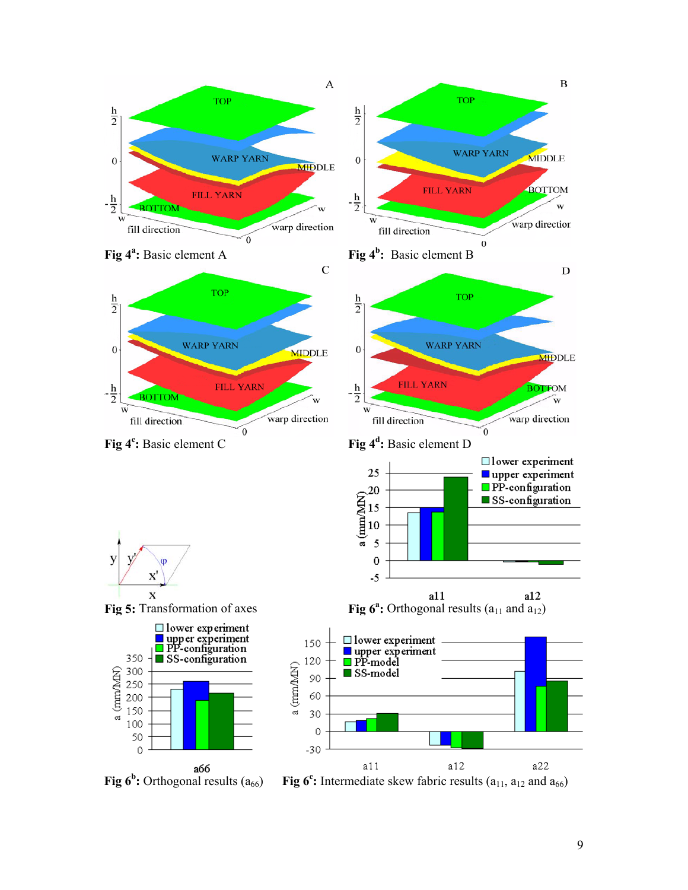

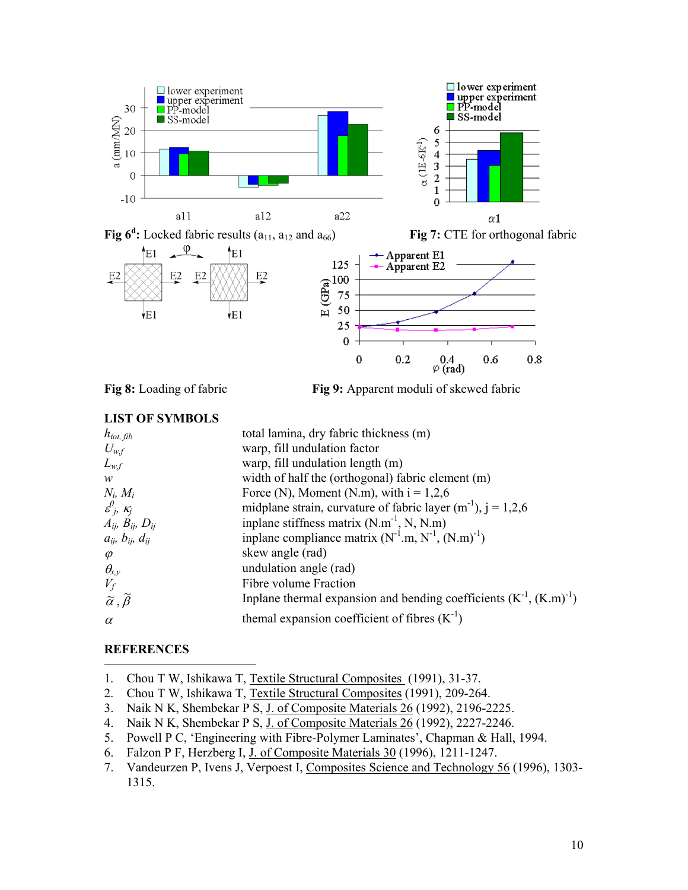

**Fig 8:** Loading of fabric **Fig 9:** Apparent moduli of skewed fabric

# **LIST OF SYMBOLS**

| $h_{tot, \, fib}$                         | total lamina, dry fabric thickness (m)                                                                      |
|-------------------------------------------|-------------------------------------------------------------------------------------------------------------|
| $U_{w,f}$                                 | warp, fill undulation factor                                                                                |
| $L_{w,f}$                                 | warp, fill undulation length (m)                                                                            |
| W                                         | width of half the (orthogonal) fabric element (m)                                                           |
| $N_i$ , $M_i$                             | Force (N), Moment (N.m), with $i = 1,2,6$                                                                   |
| $\varepsilon^0$ <sub>i</sub> , $\kappa_i$ | midplane strain, curvature of fabric layer $(m^{-1})$ , $j = 1,2,6$                                         |
| $A_{ij}$ , $B_{ij}$ , $D_{ij}$            | inplane stiffness matrix $(N.m^{-1}, N, N.m)$<br>inplane compliance matrix $(N^{-1}.m, N^{-1}, (N.m)^{-1})$ |
| $a_{ij}$ , $b_{ij}$ , $d_{ij}$            |                                                                                                             |
| $\varphi$                                 | skew angle (rad)                                                                                            |
| $\theta_{\!x,y}$                          | undulation angle (rad)                                                                                      |
| $V_f$                                     | Fibre volume Fraction                                                                                       |
| $\alpha, \widetilde{\beta}$               | Inplane thermal expansion and bending coefficients $(K^{-1}, (K.m)^{-1})$                                   |
| $\alpha$                                  | themal expansion coefficient of fibres $(K-1)$                                                              |

# **REFERENCES**

 $\overline{a}$ 

- 1. Chou T W, Ishikawa T, Textile Structural Composites (1991), 31-37.
- 2. Chou T W, Ishikawa T, Textile Structural Composites (1991), 209-264.
- 3. Naik N K, Shembekar P S, J. of Composite Materials 26 (1992), 2196-2225.
- 4. Naik N K, Shembekar P S, J. of Composite Materials 26 (1992), 2227-2246.
- 5. Powell P C, 'Engineering with Fibre-Polymer Laminates', Chapman & Hall, 1994.
- 6. Falzon P F, Herzberg I, J. of Composite Materials 30 (1996), 1211-1247.
- 7. Vandeurzen P, Ivens J, Verpoest I, Composites Science and Technology 56 (1996), 1303- 1315.